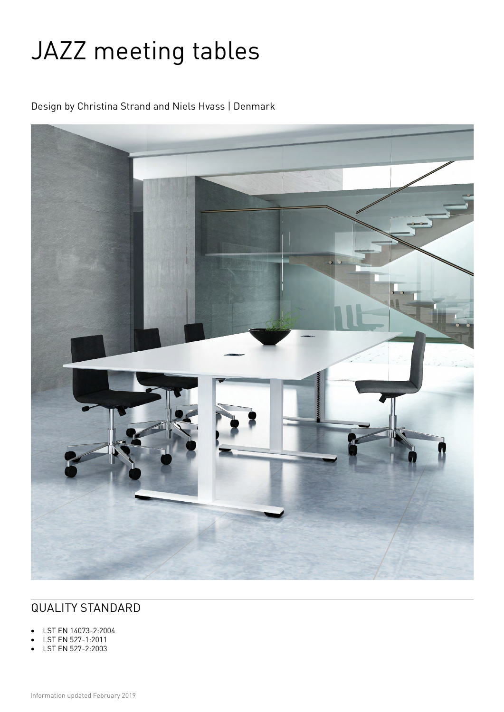# JAZZ meeting tables

Design by Christina Strand and Niels Hvass | Denmark



# QUALITY STANDARD

- LST EN 14073-2:2004
- LST EN 527-1:2011
- LST EN 527-2:2003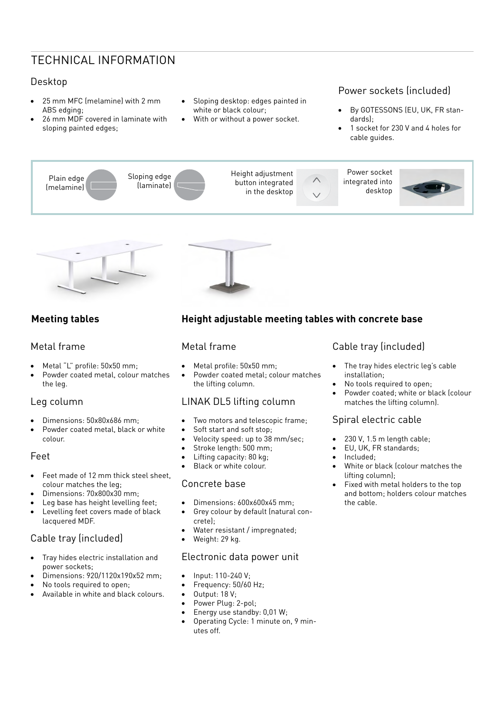# TECHNICAL INFORMATION

## Desktop

- 25 mm MFC (melamine) with 2 mm ABS edging;
- 26 mm MDF covered in laminate with sloping painted edges;
- Sloping desktop: edges painted in white or black colour;
- With or without a power socket.

## Power sockets (included)

- By GOTESSONS (EU, UK, FR standards);
- 1 socket for 230 V and 4 holes for cable guides.





## **Meeting tables**

#### Metal frame

- Metal "L" profile: 50x50 mm;
- Powder coated metal, colour matches the leg.

#### Leg column

- Dimensions: 50x80x686 mm;
- Powder coated metal, black or white colour.

#### Feet

- Feet made of 12 mm thick steel sheet, colour matches the leg;
- Dimensions: 70x800x30 mm;
- Leg base has height levelling feet;
- Levelling feet covers made of black lacquered MDF.

## Cable tray (included)

- Tray hides electric installation and power sockets;
- Dimensions: 920/1120x190x52 mm;
- No tools required to open;
- Available in white and black colours.

## **Height adjustable meeting tables with concrete base**

#### Metal frame

- Metal profile: 50x50 mm;
- Powder coated metal; colour matches the lifting column.

### LINAK DL5 lifting column

- Two motors and telescopic frame;
- Soft start and soft stop;
- Velocity speed: up to 38 mm/sec;
- Stroke length: 500 mm;
- Lifting capacity: 80 kg;
- Black or white colour.

#### Concrete base

- Dimensions: 600x600x45 mm;
- Grey colour by default (natural concrete);
- Water resistant / impregnated;
- Weight: 29 kg.

#### Electronic data power unit

- Input: 110-240 V;
- Frequency: 50/60 Hz;
- Output: 18 V;
- Power Plug: 2-pol;
- Energy use standby: 0,01 W;
- Operating Cycle: 1 minute on, 9 minutes off.

## Cable tray (included)

- The tray hides electric leg's cable installation;
- No tools required to open;
- Powder coated; white or black (colour matches the lifting column).

#### Spiral electric cable

- 230 V, 1.5 m length cable;
- EU, UK, FR standards;
- Included;
- White or black (colour matches the lifting column);
- Fixed with metal holders to the top and bottom; holders colour matches the cable.